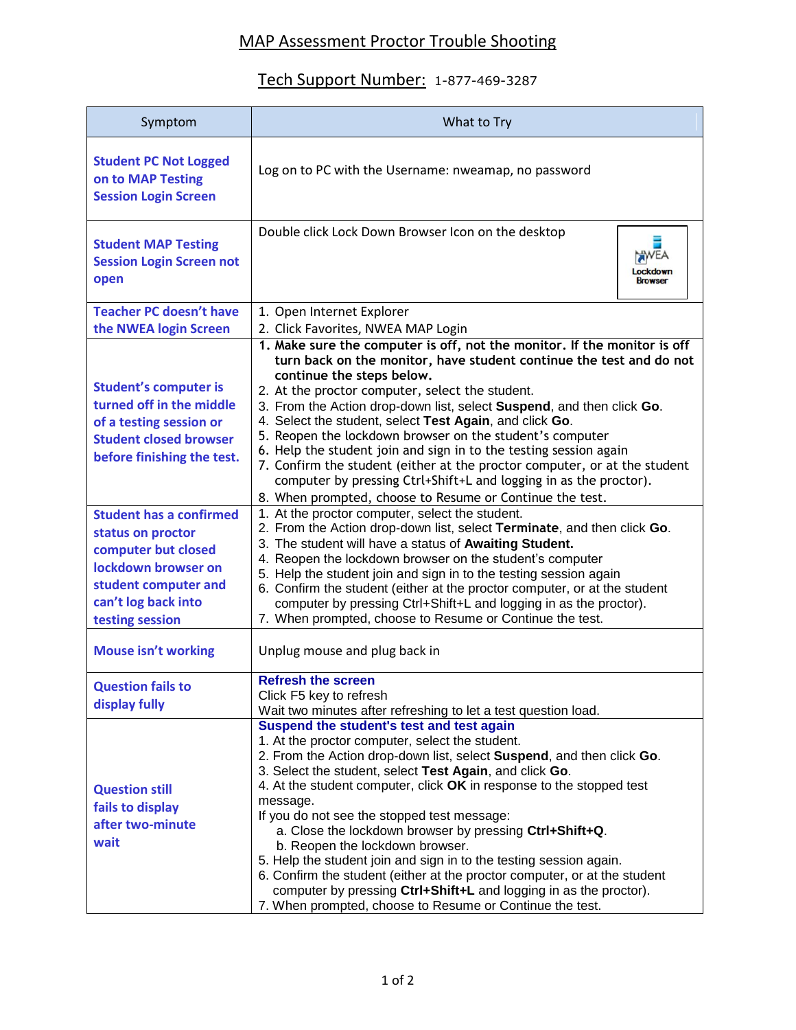## MAP Assessment Proctor Trouble Shooting

## Tech Support Number: 1-877-469-3287

| Symptom                                                                                                                                                             | What to Try                                                                                                                                                                                                                                                                                                                                                                                                                                                                                                                                                                                                                                                                                                                                           |  |
|---------------------------------------------------------------------------------------------------------------------------------------------------------------------|-------------------------------------------------------------------------------------------------------------------------------------------------------------------------------------------------------------------------------------------------------------------------------------------------------------------------------------------------------------------------------------------------------------------------------------------------------------------------------------------------------------------------------------------------------------------------------------------------------------------------------------------------------------------------------------------------------------------------------------------------------|--|
| <b>Student PC Not Logged</b><br>on to MAP Testing<br><b>Session Login Screen</b>                                                                                    | Log on to PC with the Username: nweamap, no password                                                                                                                                                                                                                                                                                                                                                                                                                                                                                                                                                                                                                                                                                                  |  |
| <b>Student MAP Testing</b><br><b>Session Login Screen not</b><br>open                                                                                               | Double click Lock Down Browser Icon on the desktop<br>Lockdown<br><b>Browser</b>                                                                                                                                                                                                                                                                                                                                                                                                                                                                                                                                                                                                                                                                      |  |
| <b>Teacher PC doesn't have</b>                                                                                                                                      | 1. Open Internet Explorer                                                                                                                                                                                                                                                                                                                                                                                                                                                                                                                                                                                                                                                                                                                             |  |
| the NWEA login Screen                                                                                                                                               | 2. Click Favorites, NWEA MAP Login                                                                                                                                                                                                                                                                                                                                                                                                                                                                                                                                                                                                                                                                                                                    |  |
| <b>Student's computer is</b><br>turned off in the middle<br>of a testing session or<br><b>Student closed browser</b><br>before finishing the test.                  | 1. Make sure the computer is off, not the monitor. If the monitor is off<br>turn back on the monitor, have student continue the test and do not<br>continue the steps below.<br>2. At the proctor computer, select the student.<br>3. From the Action drop-down list, select Suspend, and then click Go.<br>4. Select the student, select Test Again, and click Go.<br>5. Reopen the lockdown browser on the student's computer<br>6. Help the student join and sign in to the testing session again<br>7. Confirm the student (either at the proctor computer, or at the student<br>computer by pressing Ctrl+Shift+L and logging in as the proctor).<br>8. When prompted, choose to Resume or Continue the test.                                    |  |
| <b>Student has a confirmed</b><br>status on proctor<br>computer but closed<br>lockdown browser on<br>student computer and<br>can't log back into<br>testing session | 1. At the proctor computer, select the student.<br>2. From the Action drop-down list, select Terminate, and then click Go.<br>3. The student will have a status of Awaiting Student.<br>4. Reopen the lockdown browser on the student's computer<br>5. Help the student join and sign in to the testing session again<br>6. Confirm the student (either at the proctor computer, or at the student<br>computer by pressing Ctrl+Shift+L and logging in as the proctor).<br>7. When prompted, choose to Resume or Continue the test.                                                                                                                                                                                                                   |  |
| <b>Mouse isn't working</b>                                                                                                                                          | Unplug mouse and plug back in                                                                                                                                                                                                                                                                                                                                                                                                                                                                                                                                                                                                                                                                                                                         |  |
| <b>Question fails to</b><br>display fully                                                                                                                           | <b>Refresh the screen</b><br>Click F5 key to refresh<br>Wait two minutes after refreshing to let a test question load.                                                                                                                                                                                                                                                                                                                                                                                                                                                                                                                                                                                                                                |  |
| <b>Question still</b><br>fails to display<br>after two-minute<br>wait                                                                                               | Suspend the student's test and test again<br>1. At the proctor computer, select the student.<br>2. From the Action drop-down list, select Suspend, and then click Go.<br>3. Select the student, select Test Again, and click Go.<br>4. At the student computer, click OK in response to the stopped test<br>message.<br>If you do not see the stopped test message:<br>a. Close the lockdown browser by pressing Ctrl+Shift+Q.<br>b. Reopen the lockdown browser.<br>5. Help the student join and sign in to the testing session again.<br>6. Confirm the student (either at the proctor computer, or at the student<br>computer by pressing Ctrl+Shift+L and logging in as the proctor).<br>7. When prompted, choose to Resume or Continue the test. |  |